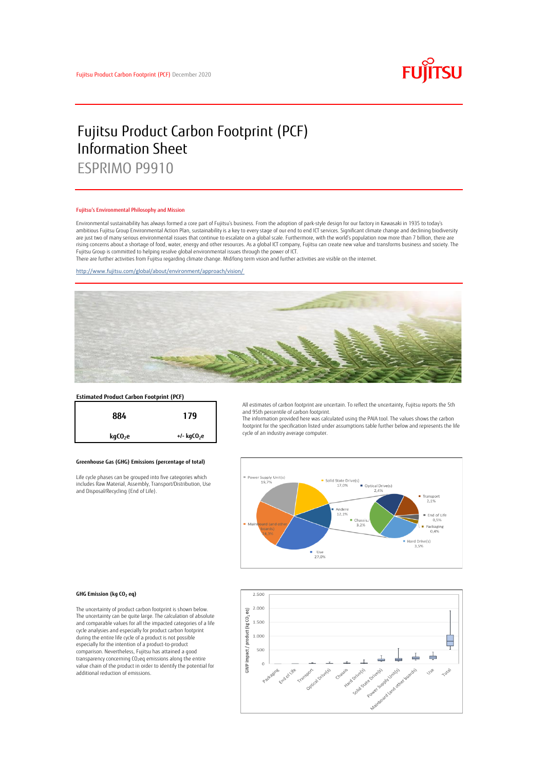

# Fujitsu Product Carbon Footprint (PCF) Information Sheet ESPRIMO P9910

### Fujitsu's Environmental Philosophy and Mission

Environmental sustainability has always formed a core part of Fujitsu's business. From the adoption of park-style design for our factory in Kawasaki in 1935 to today's ambitious Fujitsu Group Environmental Action Plan, sustainability is a key to every stage of our end to end ICT services. Significant climate change and declining biodiversity are just two of many serious environmental issues that continue to escalate on a global scale. Furthermore, with the world's population now more than 7 billion, there are<br>rising concerns about a shortage of food, water, en Fujitsu Group is committed to helping resolve global environmental issues through the power of ICT.

There are further activities from Fujitsu regarding climate change. Mid/long term vision and further activities are visible on the internet.

<http://www.fujitsu.com/global/about/environment/approach/vision/>



# **Estimated Product Carbon Footprint (PCF)**



## **Greenhouse Gas (GHG) Emissions (percentage of total)**

Life cycle phases can be grouped into five categories which includes Raw Material, Assembly, Transport/Distribution, Use and Disposal/Recycling (End of Life).

All estimates of carbon footprint are uncertain. To reflect the uncertainty, Fujitsu reports the 5th and 95th percentile of carbon footprint.

The information provided here was calculated using the PAIA tool. The values shows the carbon footprint for the specification listed under assumptions table further below and represents the life cycle of an industry average computer.



#### **GHG Emission (kg CO<sup>2</sup> eq)**

The uncertainty of product carbon footprint is shown below. The uncertainty can be quite large. The calculation of absolute and comparable values for all the impacted categories of a life cycle analysies and especially for product carbon footprint during the entire life cycle of a product is not possible especially for the intention of a product-to-product comparison. Nevertheless, Fujitsu has attained a good transparency concerning CO2eq emissions along the entire value chain of the product in order to identify the potential for additional reduction of emissions.